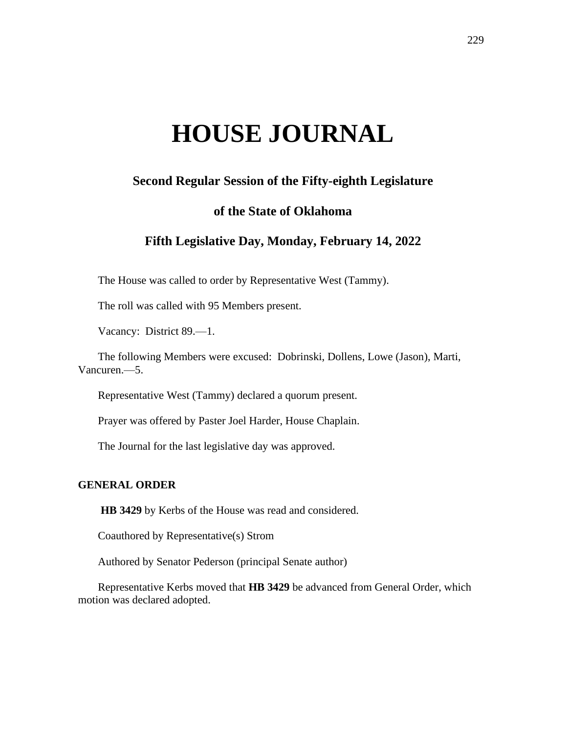# **HOUSE JOURNAL**

# **Second Regular Session of the Fifty-eighth Legislature**

## **of the State of Oklahoma**

# **Fifth Legislative Day, Monday, February 14, 2022**

The House was called to order by Representative West (Tammy).

The roll was called with 95 Members present.

Vacancy: District 89.—1.

The following Members were excused: Dobrinski, Dollens, Lowe (Jason), Marti, Vancuren.—5.

Representative West (Tammy) declared a quorum present.

Prayer was offered by Paster Joel Harder, House Chaplain.

The Journal for the last legislative day was approved.

## **GENERAL ORDER**

**HB 3429** by Kerbs of the House was read and considered.

Coauthored by Representative(s) Strom

Authored by Senator Pederson (principal Senate author)

Representative Kerbs moved that **HB 3429** be advanced from General Order, which motion was declared adopted.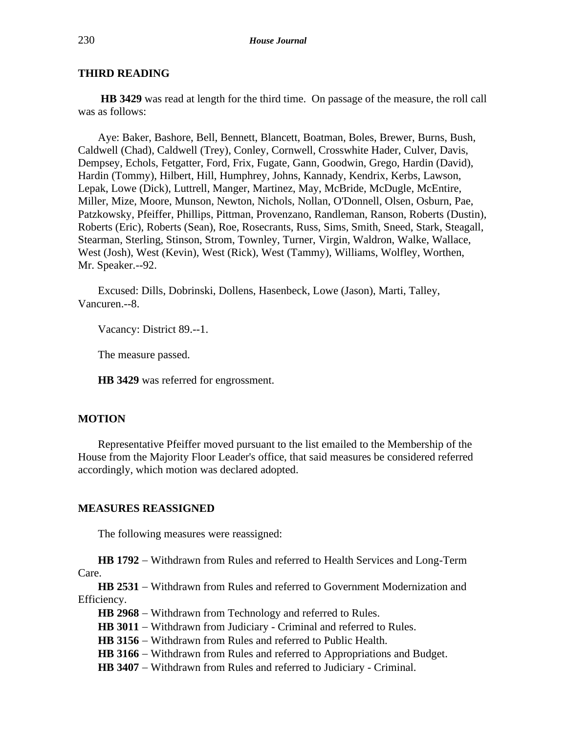## **THIRD READING**

**HB 3429** was read at length for the third time. On passage of the measure, the roll call was as follows:

Aye: Baker, Bashore, Bell, Bennett, Blancett, Boatman, Boles, Brewer, Burns, Bush, Caldwell (Chad), Caldwell (Trey), Conley, Cornwell, Crosswhite Hader, Culver, Davis, Dempsey, Echols, Fetgatter, Ford, Frix, Fugate, Gann, Goodwin, Grego, Hardin (David), Hardin (Tommy), Hilbert, Hill, Humphrey, Johns, Kannady, Kendrix, Kerbs, Lawson, Lepak, Lowe (Dick), Luttrell, Manger, Martinez, May, McBride, McDugle, McEntire, Miller, Mize, Moore, Munson, Newton, Nichols, Nollan, O'Donnell, Olsen, Osburn, Pae, Patzkowsky, Pfeiffer, Phillips, Pittman, Provenzano, Randleman, Ranson, Roberts (Dustin), Roberts (Eric), Roberts (Sean), Roe, Rosecrants, Russ, Sims, Smith, Sneed, Stark, Steagall, Stearman, Sterling, Stinson, Strom, Townley, Turner, Virgin, Waldron, Walke, Wallace, West (Josh), West (Kevin), West (Rick), West (Tammy), Williams, Wolfley, Worthen, Mr. Speaker.--92.

Excused: Dills, Dobrinski, Dollens, Hasenbeck, Lowe (Jason), Marti, Talley, Vancuren.--8.

Vacancy: District 89.--1.

The measure passed.

**HB 3429** was referred for engrossment.

## **MOTION**

Representative Pfeiffer moved pursuant to the list emailed to the Membership of the House from the Majority Floor Leader's office, that said measures be considered referred accordingly, which motion was declared adopted.

#### **MEASURES REASSIGNED**

The following measures were reassigned:

**HB 1792** − Withdrawn from Rules and referred to Health Services and Long-Term Care.

**HB 2531** − Withdrawn from Rules and referred to Government Modernization and Efficiency.

**HB 2968** − Withdrawn from Technology and referred to Rules.

HB 3011 − Withdrawn from Judiciary - Criminal and referred to Rules.

**HB 3156** − Withdrawn from Rules and referred to Public Health.

HB 3166 − Withdrawn from Rules and referred to Appropriations and Budget.

HB 3407 – Withdrawn from Rules and referred to Judiciary - Criminal.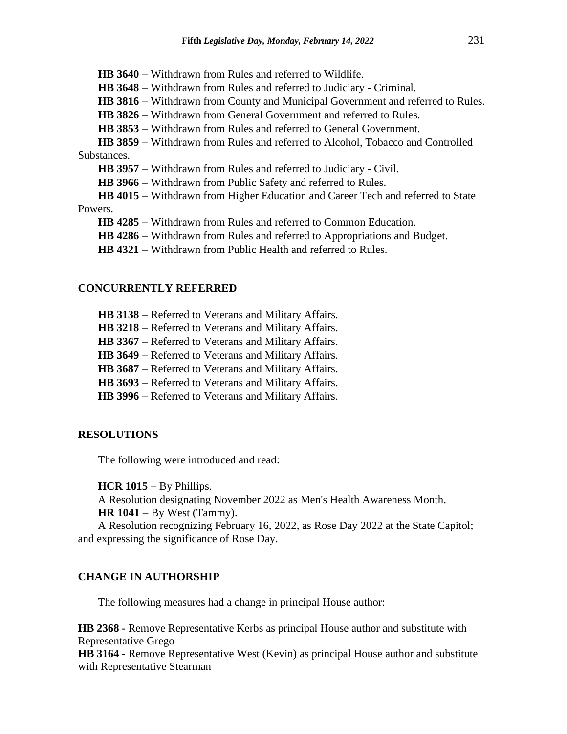**HB 3640** − Withdrawn from Rules and referred to Wildlife.

**HB 3648** − Withdrawn from Rules and referred to Judiciary - Criminal.

HB 3816 − Withdrawn from County and Municipal Government and referred to Rules.

**HB 3826** − Withdrawn from General Government and referred to Rules.

**HB 3853** − Withdrawn from Rules and referred to General Government.

**HB 3859** − Withdrawn from Rules and referred to Alcohol, Tobacco and Controlled Substances.

**HB 3957** − Withdrawn from Rules and referred to Judiciary - Civil.

**HB 3966** − Withdrawn from Public Safety and referred to Rules.

**HB 4015** − Withdrawn from Higher Education and Career Tech and referred to State Powers.

**HB 4285** − Withdrawn from Rules and referred to Common Education.

**HB 4286** − Withdrawn from Rules and referred to Appropriations and Budget.

**HB 4321** − Withdrawn from Public Health and referred to Rules.

### **CONCURRENTLY REFERRED**

**HB 3138** − Referred to Veterans and Military Affairs.

**HB 3218** − Referred to Veterans and Military Affairs.

**HB 3367** − Referred to Veterans and Military Affairs.

**HB 3649** − Referred to Veterans and Military Affairs.

**HB 3687** − Referred to Veterans and Military Affairs.

HB 3693 – Referred to Veterans and Military Affairs.

**HB 3996** − Referred to Veterans and Military Affairs.

# **RESOLUTIONS**

The following were introduced and read:

**HCR 1015** − By Phillips.

A Resolution designating November 2022 as Men's Health Awareness Month. **HR 1041** − By West (Tammy).

A Resolution recognizing February 16, 2022, as Rose Day 2022 at the State Capitol; and expressing the significance of Rose Day.

## **CHANGE IN AUTHORSHIP**

The following measures had a change in principal House author:

**HB 2368 -** Remove Representative Kerbs as principal House author and substitute with Representative Grego

**HB 3164 -** Remove Representative West (Kevin) as principal House author and substitute with Representative Stearman